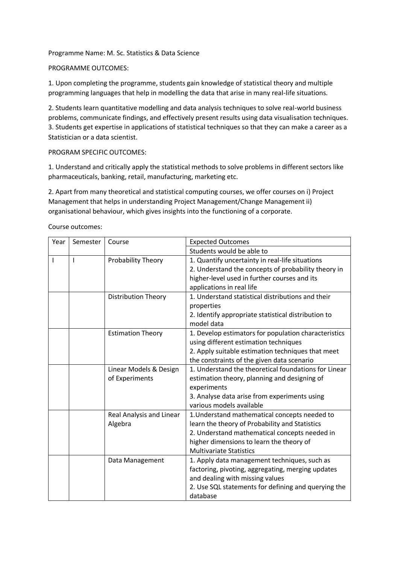Programme Name: M. Sc. Statistics & Data Science

## PROGRAMME OUTCOMES:

1. Upon completing the programme, students gain knowledge of statistical theory and multiple programming languages that help in modelling the data that arise in many real-life situations.

2. Students learn quantitative modelling and data analysis techniques to solve real-world business problems, communicate findings, and effectively present results using data visualisation techniques. 3. Students get expertise in applications of statistical techniques so that they can make a career as a Statistician or a data scientist.

## PROGRAM SPECIFIC OUTCOMES:

1. Understand and critically apply the statistical methods to solve problems in different sectors like pharmaceuticals, banking, retail, manufacturing, marketing etc.

2. Apart from many theoretical and statistical computing courses, we offer courses on i) Project Management that helps in understanding Project Management/Change Management ii) organisational behaviour, which gives insights into the functioning of a corporate.

| Year         | Semester     | Course                                   | <b>Expected Outcomes</b>                                                                                                                                                                                                       |
|--------------|--------------|------------------------------------------|--------------------------------------------------------------------------------------------------------------------------------------------------------------------------------------------------------------------------------|
|              |              |                                          | Students would be able to                                                                                                                                                                                                      |
| $\mathsf{I}$ | $\mathsf{I}$ | Probability Theory                       | 1. Quantify uncertainty in real-life situations<br>2. Understand the concepts of probability theory in<br>higher-level used in further courses and its<br>applications in real life                                            |
|              |              | <b>Distribution Theory</b>               | 1. Understand statistical distributions and their<br>properties<br>2. Identify appropriate statistical distribution to<br>model data                                                                                           |
|              |              | <b>Estimation Theory</b>                 | 1. Develop estimators for population characteristics<br>using different estimation techniques<br>2. Apply suitable estimation techniques that meet<br>the constraints of the given data scenario                               |
|              |              | Linear Models & Design<br>of Experiments | 1. Understand the theoretical foundations for Linear<br>estimation theory, planning and designing of<br>experiments<br>3. Analyse data arise from experiments using<br>various models available                                |
|              |              | Real Analysis and Linear<br>Algebra      | 1. Understand mathematical concepts needed to<br>learn the theory of Probability and Statistics<br>2. Understand mathematical concepts needed in<br>higher dimensions to learn the theory of<br><b>Multivariate Statistics</b> |
|              |              | Data Management                          | 1. Apply data management techniques, such as<br>factoring, pivoting, aggregating, merging updates<br>and dealing with missing values<br>2. Use SQL statements for defining and querying the<br>database                        |

Course outcomes: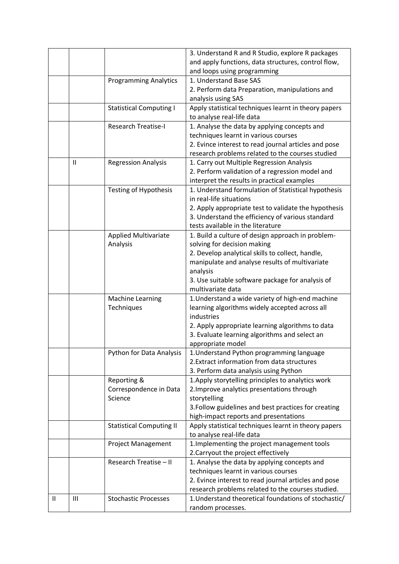|   |                |                                 | 3. Understand R and R Studio, explore R packages                                  |
|---|----------------|---------------------------------|-----------------------------------------------------------------------------------|
|   |                |                                 | and apply functions, data structures, control flow,                               |
|   |                |                                 | and loops using programming                                                       |
|   |                | <b>Programming Analytics</b>    | 1. Understand Base SAS                                                            |
|   |                |                                 | 2. Perform data Preparation, manipulations and                                    |
|   |                |                                 | analysis using SAS                                                                |
|   |                | <b>Statistical Computing I</b>  | Apply statistical techniques learnt in theory papers<br>to analyse real-life data |
|   |                | <b>Research Treatise-I</b>      | 1. Analyse the data by applying concepts and                                      |
|   |                |                                 | techniques learnt in various courses                                              |
|   |                |                                 | 2. Evince interest to read journal articles and pose                              |
|   |                |                                 | research problems related to the courses studied                                  |
|   | $\mathbf{I}$   | <b>Regression Analysis</b>      | 1. Carry out Multiple Regression Analysis                                         |
|   |                |                                 | 2. Perform validation of a regression model and                                   |
|   |                |                                 | interpret the results in practical examples                                       |
|   |                | <b>Testing of Hypothesis</b>    | 1. Understand formulation of Statistical hypothesis                               |
|   |                |                                 | in real-life situations                                                           |
|   |                |                                 | 2. Apply appropriate test to validate the hypothesis                              |
|   |                |                                 | 3. Understand the efficiency of various standard                                  |
|   |                |                                 | tests available in the literature                                                 |
|   |                | <b>Applied Multivariate</b>     | 1. Build a culture of design approach in problem-                                 |
|   |                | Analysis                        | solving for decision making                                                       |
|   |                |                                 | 2. Develop analytical skills to collect, handle,                                  |
|   |                |                                 | manipulate and analyse results of multivariate                                    |
|   |                |                                 | analysis                                                                          |
|   |                |                                 | 3. Use suitable software package for analysis of                                  |
|   |                |                                 | multivariate data                                                                 |
|   |                | <b>Machine Learning</b>         | 1. Understand a wide variety of high-end machine                                  |
|   |                | Techniques                      | learning algorithms widely accepted across all                                    |
|   |                |                                 | industries                                                                        |
|   |                |                                 | 2. Apply appropriate learning algorithms to data                                  |
|   |                |                                 | 3. Evaluate learning algorithms and select an                                     |
|   |                |                                 | appropriate model                                                                 |
|   |                | Python for Data Analysis        | 1. Understand Python programming language                                         |
|   |                |                                 | 2. Extract information from data structures                                       |
|   |                |                                 | 3. Perform data analysis using Python                                             |
|   |                | Reporting &                     | 1. Apply storytelling principles to analytics work                                |
|   |                | Correspondence in Data          | 2. Improve analytics presentations through                                        |
|   |                | Science                         | storytelling                                                                      |
|   |                |                                 | 3. Follow guidelines and best practices for creating                              |
|   |                |                                 | high-impact reports and presentations                                             |
|   |                | <b>Statistical Computing II</b> | Apply statistical techniques learnt in theory papers                              |
|   |                |                                 | to analyse real-life data                                                         |
|   |                | <b>Project Management</b>       | 1. Implementing the project management tools                                      |
|   |                |                                 | 2. Carryout the project effectively                                               |
|   |                | Research Treatise - II          |                                                                                   |
|   |                |                                 | 1. Analyse the data by applying concepts and                                      |
|   |                |                                 | techniques learnt in various courses                                              |
|   |                |                                 | 2. Evince interest to read journal articles and pose                              |
|   |                |                                 | research problems related to the courses studied.                                 |
| Ш | $\mathbf{III}$ | <b>Stochastic Processes</b>     | 1. Understand theoretical foundations of stochastic/                              |
|   |                |                                 | random processes.                                                                 |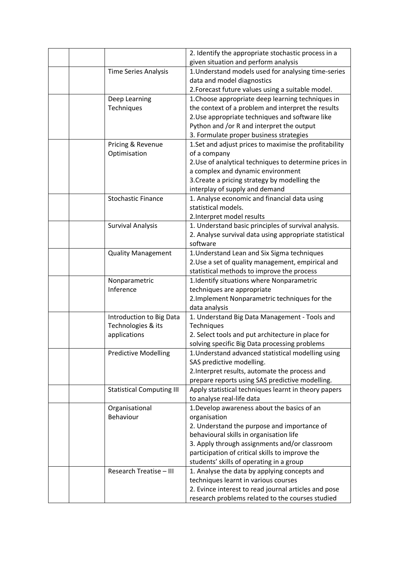|  |                                  | 2. Identify the appropriate stochastic process in a    |
|--|----------------------------------|--------------------------------------------------------|
|  |                                  | given situation and perform analysis                   |
|  | <b>Time Series Analysis</b>      | 1. Understand models used for analysing time-series    |
|  |                                  | data and model diagnostics                             |
|  |                                  | 2. Forecast future values using a suitable model.      |
|  | Deep Learning                    | 1. Choose appropriate deep learning techniques in      |
|  | Techniques                       | the context of a problem and interpret the results     |
|  |                                  | 2. Use appropriate techniques and software like        |
|  |                                  | Python and /or R and interpret the output              |
|  |                                  | 3. Formulate proper business strategies                |
|  | Pricing & Revenue                | 1. Set and adjust prices to maximise the profitability |
|  | Optimisation                     | of a company                                           |
|  |                                  | 2. Use of analytical techniques to determine prices in |
|  |                                  | a complex and dynamic environment                      |
|  |                                  | 3. Create a pricing strategy by modelling the          |
|  |                                  | interplay of supply and demand                         |
|  | <b>Stochastic Finance</b>        | 1. Analyse economic and financial data using           |
|  |                                  | statistical models.                                    |
|  |                                  | 2. Interpret model results                             |
|  | <b>Survival Analysis</b>         | 1. Understand basic principles of survival analysis.   |
|  |                                  | 2. Analyse survival data using appropriate statistical |
|  |                                  | software                                               |
|  | <b>Quality Management</b>        | 1. Understand Lean and Six Sigma techniques            |
|  |                                  | 2. Use a set of quality management, empirical and      |
|  |                                  | statistical methods to improve the process             |
|  | Nonparametric                    | 1. Identify situations where Nonparametric             |
|  | Inference                        | techniques are appropriate                             |
|  |                                  | 2. Implement Nonparametric techniques for the          |
|  |                                  | data analysis                                          |
|  | Introduction to Big Data         | 1. Understand Big Data Management - Tools and          |
|  | Technologies & its               | Techniques                                             |
|  | applications                     | 2. Select tools and put architecture in place for      |
|  |                                  | solving specific Big Data processing problems          |
|  | <b>Predictive Modelling</b>      | 1. Understand advanced statistical modelling using     |
|  |                                  | SAS predictive modelling.                              |
|  |                                  | 2. Interpret results, automate the process and         |
|  |                                  | prepare reports using SAS predictive modelling.        |
|  | <b>Statistical Computing III</b> | Apply statistical techniques learnt in theory papers   |
|  |                                  | to analyse real-life data                              |
|  | Organisational                   | 1. Develop awareness about the basics of an            |
|  | Behaviour                        | organisation                                           |
|  |                                  | 2. Understand the purpose and importance of            |
|  |                                  | behavioural skills in organisation life                |
|  |                                  | 3. Apply through assignments and/or classroom          |
|  |                                  | participation of critical skills to improve the        |
|  |                                  | students' skills of operating in a group               |
|  | Research Treatise - III          | 1. Analyse the data by applying concepts and           |
|  |                                  | techniques learnt in various courses                   |
|  |                                  | 2. Evince interest to read journal articles and pose   |
|  |                                  | research problems related to the courses studied       |